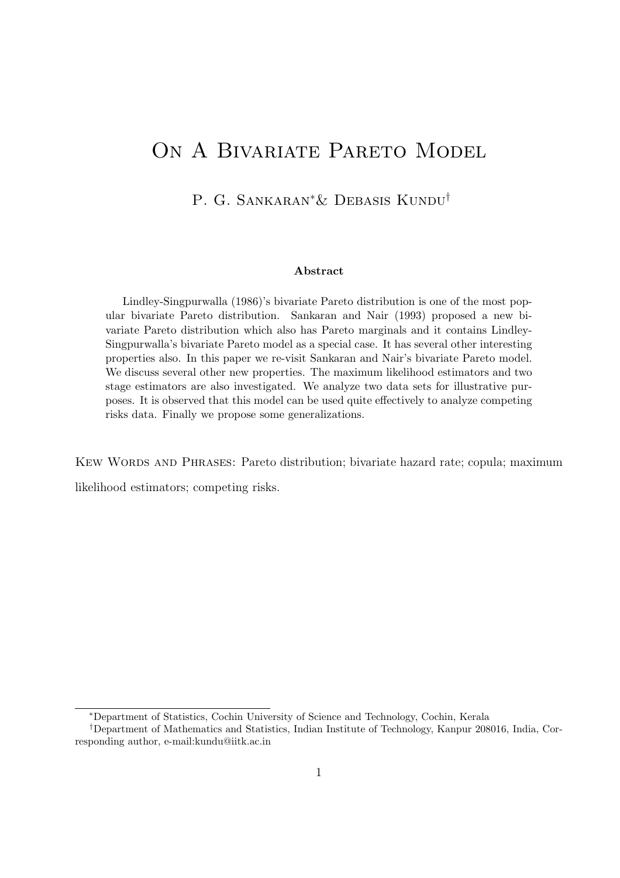# ON A BIVARIATE PARETO MODEL

P. G. SANKARAN<sup>∗</sup>& DEBASIS KUNDU<sup>†</sup>

#### Abstract

Lindley-Singpurwalla (1986)'s bivariate Pareto distribution is one of the most popular bivariate Pareto distribution. Sankaran and Nair (1993) proposed a new bivariate Pareto distribution which also has Pareto marginals and it contains Lindley-Singpurwalla's bivariate Pareto model as a special case. It has several other interesting properties also. In this paper we re-visit Sankaran and Nair's bivariate Pareto model. We discuss several other new properties. The maximum likelihood estimators and two stage estimators are also investigated. We analyze two data sets for illustrative purposes. It is observed that this model can be used quite effectively to analyze competing risks data. Finally we propose some generalizations.

KEW WORDS AND PHRASES: Pareto distribution; bivariate hazard rate; copula; maximum

likelihood estimators; competing risks.

<sup>∗</sup>Department of Statistics, Cochin University of Science and Technology, Cochin, Kerala

<sup>†</sup>Department of Mathematics and Statistics, Indian Institute of Technology, Kanpur 208016, India, Corresponding author, e-mail:kundu@iitk.ac.in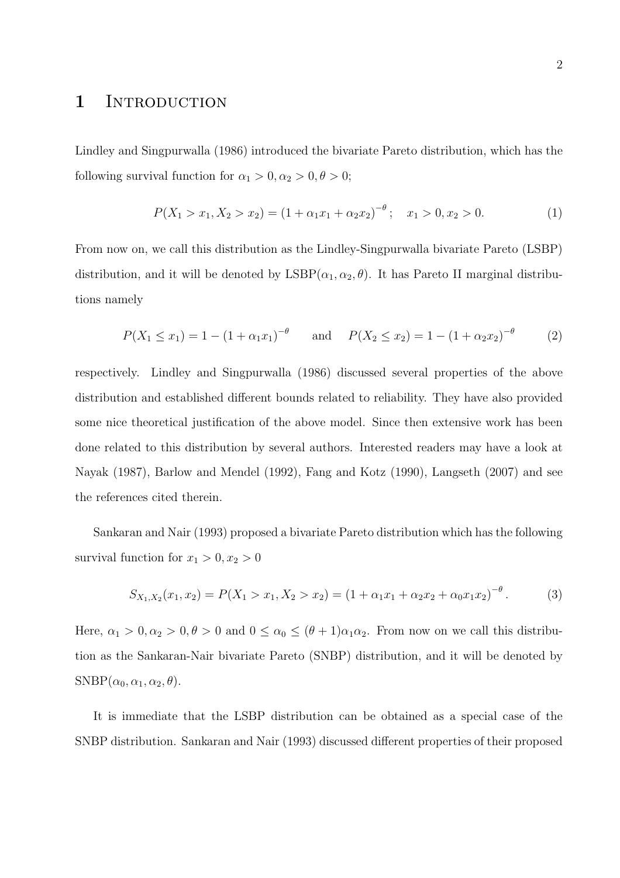### 1 INTRODUCTION

Lindley and Singpurwalla (1986) introduced the bivariate Pareto distribution, which has the following survival function for  $\alpha_1 > 0, \alpha_2 > 0, \theta > 0;$ 

$$
P(X_1 > x_1, X_2 > x_2) = (1 + \alpha_1 x_1 + \alpha_2 x_2)^{-\theta}; \quad x_1 > 0, x_2 > 0.
$$
 (1)

From now on, we call this distribution as the Lindley-Singpurwalla bivariate Pareto (LSBP) distribution, and it will be denoted by  $\text{LSBP}(\alpha_1, \alpha_2, \theta)$ . It has Pareto II marginal distributions namely

$$
P(X_1 \le x_1) = 1 - (1 + \alpha_1 x_1)^{-\theta} \quad \text{and} \quad P(X_2 \le x_2) = 1 - (1 + \alpha_2 x_2)^{-\theta} \tag{2}
$$

respectively. Lindley and Singpurwalla (1986) discussed several properties of the above distribution and established different bounds related to reliability. They have also provided some nice theoretical justification of the above model. Since then extensive work has been done related to this distribution by several authors. Interested readers may have a look at Nayak (1987), Barlow and Mendel (1992), Fang and Kotz (1990), Langseth (2007) and see the references cited therein.

Sankaran and Nair (1993) proposed a bivariate Pareto distribution which has the following survival function for  $x_1 > 0, x_2 > 0$ 

$$
S_{X_1,X_2}(x_1,x_2) = P(X_1 > x_1, X_2 > x_2) = (1 + \alpha_1 x_1 + \alpha_2 x_2 + \alpha_0 x_1 x_2)^{-\theta}.
$$
 (3)

Here,  $\alpha_1 > 0, \alpha_2 > 0, \theta > 0$  and  $0 \leq \alpha_0 \leq (\theta + 1)\alpha_1\alpha_2$ . From now on we call this distribution as the Sankaran-Nair bivariate Pareto (SNBP) distribution, and it will be denoted by  $SNBP(\alpha_0, \alpha_1, \alpha_2, \theta).$ 

It is immediate that the LSBP distribution can be obtained as a special case of the SNBP distribution. Sankaran and Nair (1993) discussed different properties of their proposed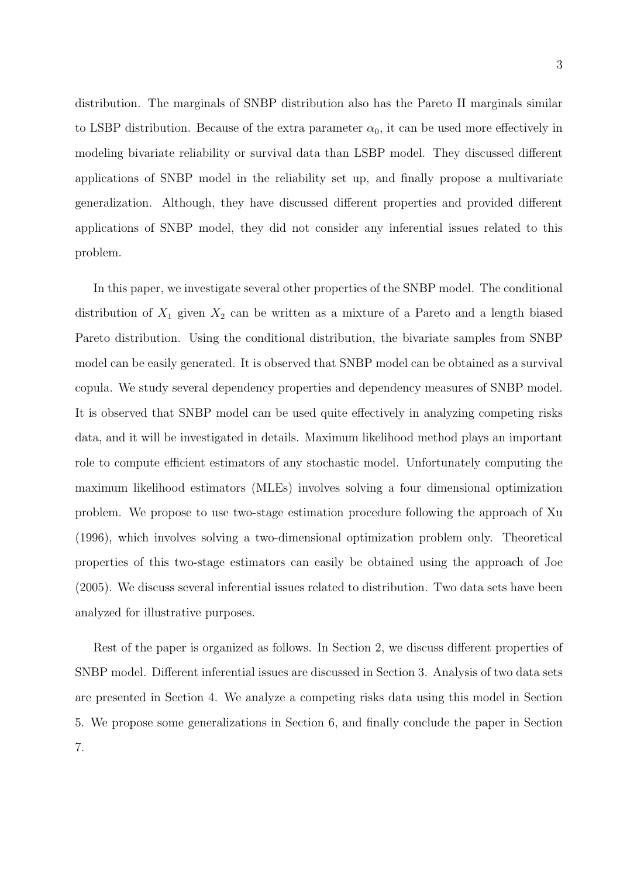distribution. The marginals of SNBP distribution also has the Pareto II marginals similar to LSBP distribution. Because of the extra parameter  $\alpha_0$ , it can be used more effectively in modeling bivariate reliability or survival data than LSBP model. They discussed different applications of SNBP model in the reliability set up, and finally propose a multivariate generalization. Although, they have discussed different properties and provided different applications of SNBP model, they did not consider any inferential issues related to this problem.

In this paper, we investigate several other properties of the SNBP model. The conditional distribution of  $X_1$  given  $X_2$  can be written as a mixture of a Pareto and a length biased Pareto distribution. Using the conditional distribution, the bivariate samples from SNBP model can be easily generated. It is observed that SNBP model can be obtained as a survival copula. We study several dependency properties and dependency measures of SNBP model. It is observed that SNBP model can be used quite effectively in analyzing competing risks data, and it will be investigated in details. Maximum likelihood method plays an important role to compute efficient estimators of any stochastic model. Unfortunately computing the maximum likelihood estimators (MLEs) involves solving a four dimensional optimization problem. We propose to use two-stage estimation procedure following the approach of Xu (1996), which involves solving a two-dimensional optimization problem only. Theoretical properties of this two-stage estimators can easily be obtained using the approach of Joe (2005). We discuss several inferential issues related to distribution. Two data sets have been analyzed for illustrative purposes.

Rest of the paper is organized as follows. In Section 2, we discuss different properties of SNBP model. Different inferential issues are discussed in Section 3. Analysis of two data sets are presented in Section 4. We analyze a competing risks data using this model in Section 5. We propose some generalizations in Section 6, and finally conclude the paper in Section 7.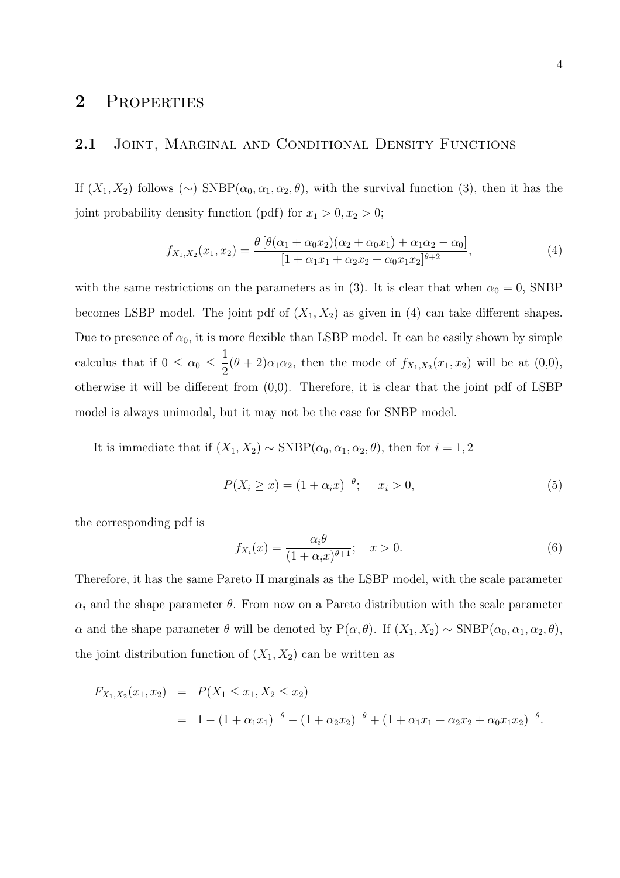### 2 PROPERTIES

#### 2.1 JOINT, MARGINAL AND CONDITIONAL DENSITY FUNCTIONS

If  $(X_1, X_2)$  follows  $(\sim)$  SNBP $(\alpha_0, \alpha_1, \alpha_2, \theta)$ , with the survival function (3), then it has the joint probability density function (pdf) for  $x_1 > 0, x_2 > 0;$ 

$$
f_{X_1,X_2}(x_1,x_2) = \frac{\theta \left[ \theta(\alpha_1 + \alpha_0 x_2)(\alpha_2 + \alpha_0 x_1) + \alpha_1 \alpha_2 - \alpha_0 \right]}{\left[ 1 + \alpha_1 x_1 + \alpha_2 x_2 + \alpha_0 x_1 x_2 \right]^{\theta + 2}},\tag{4}
$$

with the same restrictions on the parameters as in (3). It is clear that when  $\alpha_0 = 0$ , SNBP becomes LSBP model. The joint pdf of  $(X_1, X_2)$  as given in (4) can take different shapes. Due to presence of  $\alpha_0$ , it is more flexible than LSBP model. It can be easily shown by simple calculus that if  $0 \leq \alpha_0 \leq \frac{1}{2}$  $\frac{1}{2}(\theta + 2)\alpha_1\alpha_2$ , then the mode of  $f_{X_1,X_2}(x_1,x_2)$  will be at  $(0,0)$ , otherwise it will be different from (0,0). Therefore, it is clear that the joint pdf of LSBP model is always unimodal, but it may not be the case for SNBP model.

It is immediate that if  $(X_1, X_2) \sim \text{SNBP}(\alpha_0, \alpha_1, \alpha_2, \theta)$ , then for  $i = 1, 2$ 

$$
P(X_i \ge x) = (1 + \alpha_i x)^{-\theta}; \quad x_i > 0,
$$
\n(5)

the corresponding pdf is

$$
f_{X_i}(x) = \frac{\alpha_i \theta}{(1 + \alpha_i x)^{\theta + 1}}; \quad x > 0.
$$
 (6)

Therefore, it has the same Pareto II marginals as the LSBP model, with the scale parameter  $\alpha_i$  and the shape parameter  $\theta$ . From now on a Pareto distribution with the scale parameter α and the shape parameter  $\theta$  will be denoted by P( $\alpha$ ,  $\theta$ ). If  $(X_1, X_2) \sim$  SNBP( $\alpha$ <sub>0</sub>,  $\alpha$ <sub>1</sub>,  $\alpha$ <sub>2</sub>,  $\theta$ ), the joint distribution function of  $(X_1, X_2)$  can be written as

$$
F_{X_1,X_2}(x_1,x_2) = P(X_1 \le x_1, X_2 \le x_2)
$$
  
=  $1 - (1 + \alpha_1 x_1)^{-\theta} - (1 + \alpha_2 x_2)^{-\theta} + (1 + \alpha_1 x_1 + \alpha_2 x_2 + \alpha_0 x_1 x_2)^{-\theta}.$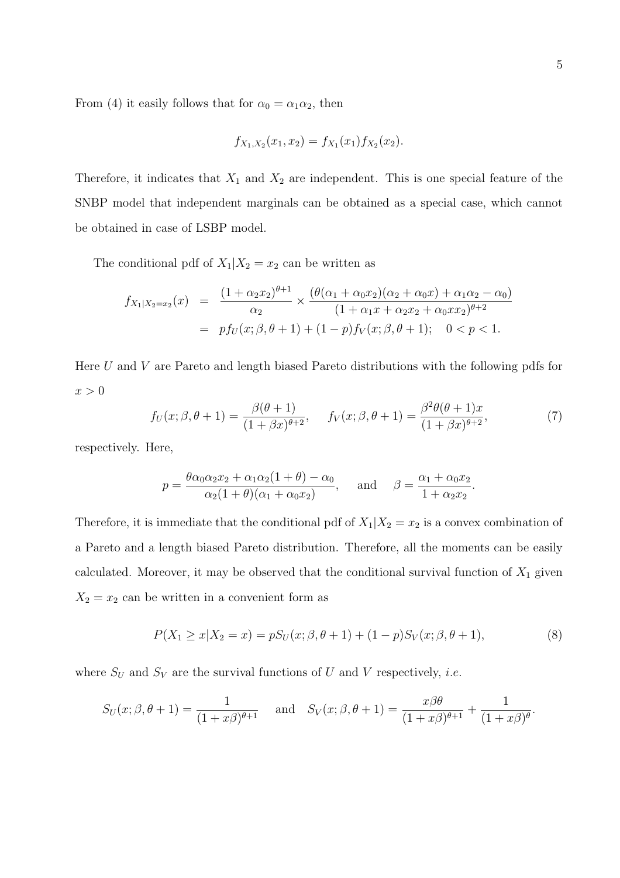From (4) it easily follows that for  $\alpha_0 = \alpha_1 \alpha_2$ , then

$$
f_{X_1,X_2}(x_1,x_2) = f_{X_1}(x_1) f_{X_2}(x_2).
$$

Therefore, it indicates that  $X_1$  and  $X_2$  are independent. This is one special feature of the SNBP model that independent marginals can be obtained as a special case, which cannot be obtained in case of LSBP model.

The conditional pdf of  $X_1|X_2 = x_2$  can be written as

$$
f_{X_1|X_2=x_2}(x) = \frac{(1+\alpha_2x_2)^{\theta+1}}{\alpha_2} \times \frac{(\theta(\alpha_1+\alpha_0x_2)(\alpha_2+\alpha_0x)+\alpha_1\alpha_2-\alpha_0)}{(1+\alpha_1x+\alpha_2x_2+\alpha_0xx_2)^{\theta+2}}
$$
  
=  $pf_U(x;\beta,\theta+1) + (1-p)f_V(x;\beta,\theta+1); \quad 0 < p < 1.$ 

Here U and V are Pareto and length biased Pareto distributions with the following pdfs for  $x > 0$ 

$$
f_U(x; \beta, \theta + 1) = \frac{\beta(\theta + 1)}{(1 + \beta x)^{\theta + 2}}, \quad f_V(x; \beta, \theta + 1) = \frac{\beta^2 \theta(\theta + 1)x}{(1 + \beta x)^{\theta + 2}},
$$
(7)

.

respectively. Here,

$$
p = \frac{\theta \alpha_0 \alpha_2 x_2 + \alpha_1 \alpha_2 (1 + \theta) - \alpha_0}{\alpha_2 (1 + \theta)(\alpha_1 + \alpha_0 x_2)}, \quad \text{and} \quad \beta = \frac{\alpha_1 + \alpha_0 x_2}{1 + \alpha_2 x_2}
$$

Therefore, it is immediate that the conditional pdf of  $X_1|X_2 = x_2$  is a convex combination of a Pareto and a length biased Pareto distribution. Therefore, all the moments can be easily calculated. Moreover, it may be observed that the conditional survival function of  $X_1$  given  $X_2 = x_2$  can be written in a convenient form as

$$
P(X_1 \ge x | X_2 = x) = pS_U(x; \beta, \theta + 1) + (1 - p)S_V(x; \beta, \theta + 1),
$$
\n(8)

where  $S_U$  and  $S_V$  are the survival functions of U and V respectively, *i.e.* 

$$
S_U(x; \beta, \theta + 1) = \frac{1}{(1 + x\beta)^{\theta+1}}
$$
 and  $S_V(x; \beta, \theta + 1) = \frac{x\beta\theta}{(1 + x\beta)^{\theta+1}} + \frac{1}{(1 + x\beta)^{\theta}}$ .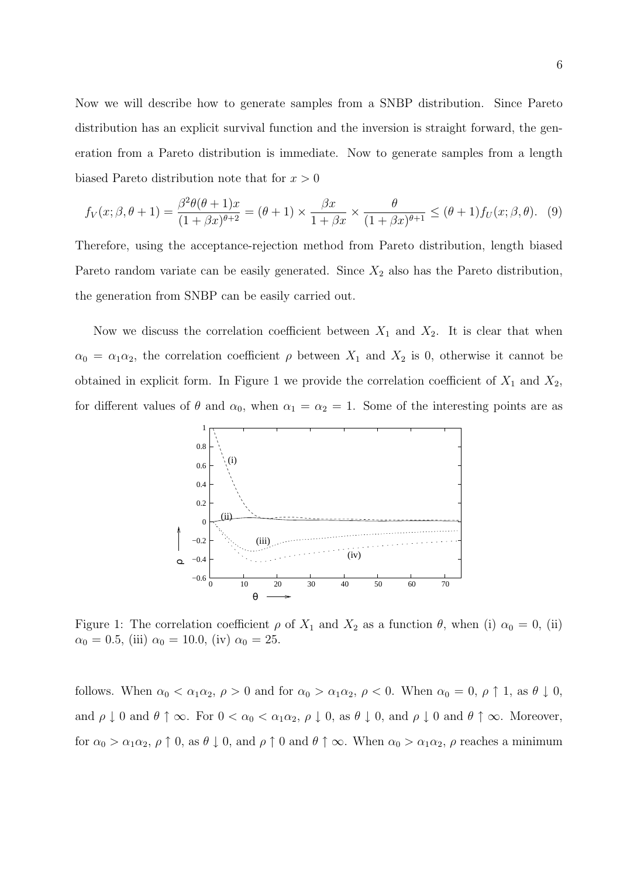Now we will describe how to generate samples from a SNBP distribution. Since Pareto distribution has an explicit survival function and the inversion is straight forward, the generation from a Pareto distribution is immediate. Now to generate samples from a length biased Pareto distribution note that for  $x > 0$ 

$$
f_V(x;\beta,\theta+1) = \frac{\beta^2 \theta(\theta+1)x}{(1+\beta x)^{\theta+2}} = (\theta+1) \times \frac{\beta x}{1+\beta x} \times \frac{\theta}{(1+\beta x)^{\theta+1}} \leq (\theta+1) f_U(x;\beta,\theta). \tag{9}
$$

Therefore, using the acceptance-rejection method from Pareto distribution, length biased Pareto random variate can be easily generated. Since  $X_2$  also has the Pareto distribution, the generation from SNBP can be easily carried out.

Now we discuss the correlation coefficient between  $X_1$  and  $X_2$ . It is clear that when  $\alpha_0 = \alpha_1 \alpha_2$ , the correlation coefficient  $\rho$  between  $X_1$  and  $X_2$  is 0, otherwise it cannot be obtained in explicit form. In Figure 1 we provide the correlation coefficient of  $X_1$  and  $X_2$ , for different values of  $\theta$  and  $\alpha_0$ , when  $\alpha_1 = \alpha_2 = 1$ . Some of the interesting points are as



Figure 1: The correlation coefficient  $\rho$  of  $X_1$  and  $X_2$  as a function  $\theta$ , when (i)  $\alpha_0 = 0$ , (ii)  $\alpha_0 = 0.5$ , (iii)  $\alpha_0 = 10.0$ , (iv)  $\alpha_0 = 25$ .

follows. When  $\alpha_0 < \alpha_1 \alpha_2$ ,  $\rho > 0$  and for  $\alpha_0 > \alpha_1 \alpha_2$ ,  $\rho < 0$ . When  $\alpha_0 = 0$ ,  $\rho \uparrow 1$ , as  $\theta \downarrow 0$ , and  $\rho \downarrow 0$  and  $\theta \uparrow \infty$ . For  $0 < \alpha_0 < \alpha_1 \alpha_2$ ,  $\rho \downarrow 0$ , as  $\theta \downarrow 0$ , and  $\rho \downarrow 0$  and  $\theta \uparrow \infty$ . Moreover, for  $\alpha_0 > \alpha_1 \alpha_2$ ,  $\rho \uparrow 0$ , as  $\theta \downarrow 0$ , and  $\rho \uparrow 0$  and  $\theta \uparrow \infty$ . When  $\alpha_0 > \alpha_1 \alpha_2$ ,  $\rho$  reaches a minimum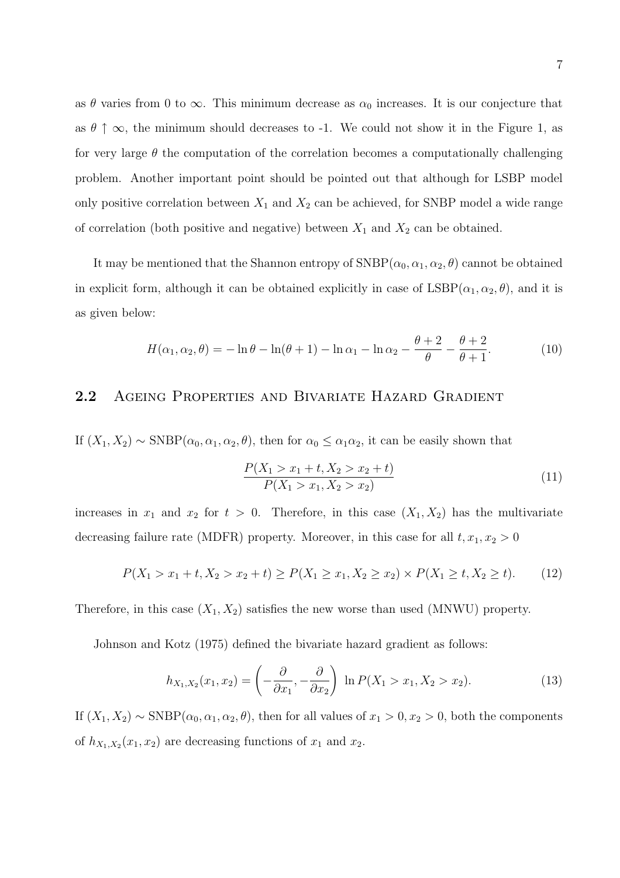as  $\theta$  varies from 0 to  $\infty$ . This minimum decrease as  $\alpha_0$  increases. It is our conjecture that as  $\theta \uparrow \infty$ , the minimum should decreases to -1. We could not show it in the Figure 1, as for very large  $\theta$  the computation of the correlation becomes a computationally challenging problem. Another important point should be pointed out that although for LSBP model only positive correlation between  $X_1$  and  $X_2$  can be achieved, for SNBP model a wide range of correlation (both positive and negative) between  $X_1$  and  $X_2$  can be obtained.

It may be mentioned that the Shannon entropy of  $\text{SNBP}(\alpha_0, \alpha_1, \alpha_2, \theta)$  cannot be obtained in explicit form, although it can be obtained explicitly in case of  $\text{LSBP}(\alpha_1, \alpha_2, \theta)$ , and it is as given below:

$$
H(\alpha_1, \alpha_2, \theta) = -\ln \theta - \ln(\theta + 1) - \ln \alpha_1 - \ln \alpha_2 - \frac{\theta + 2}{\theta} - \frac{\theta + 2}{\theta + 1}.
$$
 (10)

### 2.2 Ageing Properties and Bivariate Hazard Gradient

If  $(X_1, X_2) \sim \text{SNBP}(\alpha_0, \alpha_1, \alpha_2, \theta)$ , then for  $\alpha_0 \leq \alpha_1 \alpha_2$ , it can be easily shown that

$$
\frac{P(X_1 > x_1 + t, X_2 > x_2 + t)}{P(X_1 > x_1, X_2 > x_2)}
$$
\n(11)

increases in  $x_1$  and  $x_2$  for  $t > 0$ . Therefore, in this case  $(X_1, X_2)$  has the multivariate decreasing failure rate (MDFR) property. Moreover, in this case for all  $t, x_1, x_2 > 0$ 

$$
P(X_1 > x_1 + t, X_2 > x_2 + t) \ge P(X_1 \ge x_1, X_2 \ge x_2) \times P(X_1 \ge t, X_2 \ge t). \tag{12}
$$

Therefore, in this case  $(X_1, X_2)$  satisfies the new worse than used (MNWU) property.

Johnson and Kotz (1975) defined the bivariate hazard gradient as follows:

$$
h_{X_1,X_2}(x_1,x_2) = \left(-\frac{\partial}{\partial x_1}, -\frac{\partial}{\partial x_2}\right) \ln P(X_1 > x_1, X_2 > x_2). \tag{13}
$$

If  $(X_1, X_2) \sim \text{SNBP}(\alpha_0, \alpha_1, \alpha_2, \theta)$ , then for all values of  $x_1 > 0, x_2 > 0$ , both the components of  $h_{X_1,X_2}(x_1,x_2)$  are decreasing functions of  $x_1$  and  $x_2$ .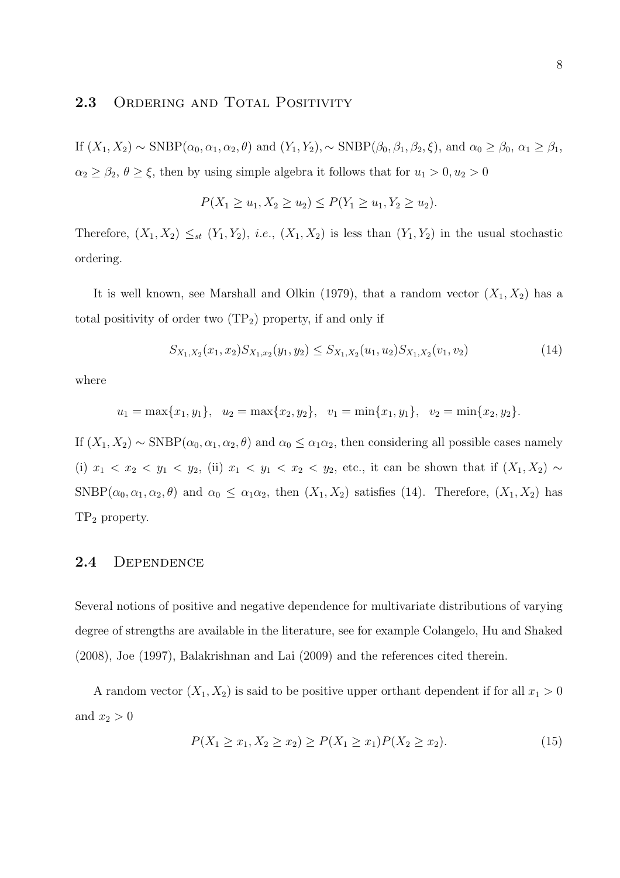### 2.3 ORDERING AND TOTAL POSITIVITY

If  $(X_1, X_2) \sim \text{SNBP}(\alpha_0, \alpha_1, \alpha_2, \theta)$  and  $(Y_1, Y_2)$ ,  $\sim \text{SNBP}(\beta_0, \beta_1, \beta_2, \xi)$ , and  $\alpha_0 \ge \beta_0$ ,  $\alpha_1 \ge \beta_1$ ,  $\alpha_2 \ge \beta_2$ ,  $\theta \ge \xi$ , then by using simple algebra it follows that for  $u_1 > 0, u_2 > 0$ 

$$
P(X_1 \ge u_1, X_2 \ge u_2) \le P(Y_1 \ge u_1, Y_2 \ge u_2).
$$

Therefore,  $(X_1, X_2) \leq_{st} (Y_1, Y_2)$ , *i.e.*,  $(X_1, X_2)$  is less than  $(Y_1, Y_2)$  in the usual stochastic ordering.

It is well known, see Marshall and Olkin (1979), that a random vector  $(X_1, X_2)$  has a total positivity of order two  $(TP_2)$  property, if and only if

$$
S_{X_1,X_2}(x_1,x_2)S_{X_1,x_2}(y_1,y_2) \leq S_{X_1,X_2}(u_1,u_2)S_{X_1,X_2}(v_1,v_2)
$$
\n
$$
(14)
$$

where

$$
u_1 = \max\{x_1, y_1\}, u_2 = \max\{x_2, y_2\}, v_1 = \min\{x_1, y_1\}, v_2 = \min\{x_2, y_2\}.
$$

If  $(X_1, X_2) \sim \text{SNBP}(\alpha_0, \alpha_1, \alpha_2, \theta)$  and  $\alpha_0 \leq \alpha_1 \alpha_2$ , then considering all possible cases namely (i)  $x_1 < x_2 < y_1 < y_2$ , (ii)  $x_1 < y_1 < x_2 < y_2$ , etc., it can be shown that if  $(X_1, X_2) \sim$ SNBP( $\alpha_0, \alpha_1, \alpha_2, \theta$ ) and  $\alpha_0 \leq \alpha_1 \alpha_2$ , then  $(X_1, X_2)$  satisfies (14). Therefore,  $(X_1, X_2)$  has TP<sup>2</sup> property.

#### 2.4 Dependence

Several notions of positive and negative dependence for multivariate distributions of varying degree of strengths are available in the literature, see for example Colangelo, Hu and Shaked (2008), Joe (1997), Balakrishnan and Lai (2009) and the references cited therein.

A random vector  $(X_1, X_2)$  is said to be positive upper orthant dependent if for all  $x_1 > 0$ and  $x_2 > 0$ 

$$
P(X_1 \ge x_1, X_2 \ge x_2) \ge P(X_1 \ge x_1)P(X_2 \ge x_2). \tag{15}
$$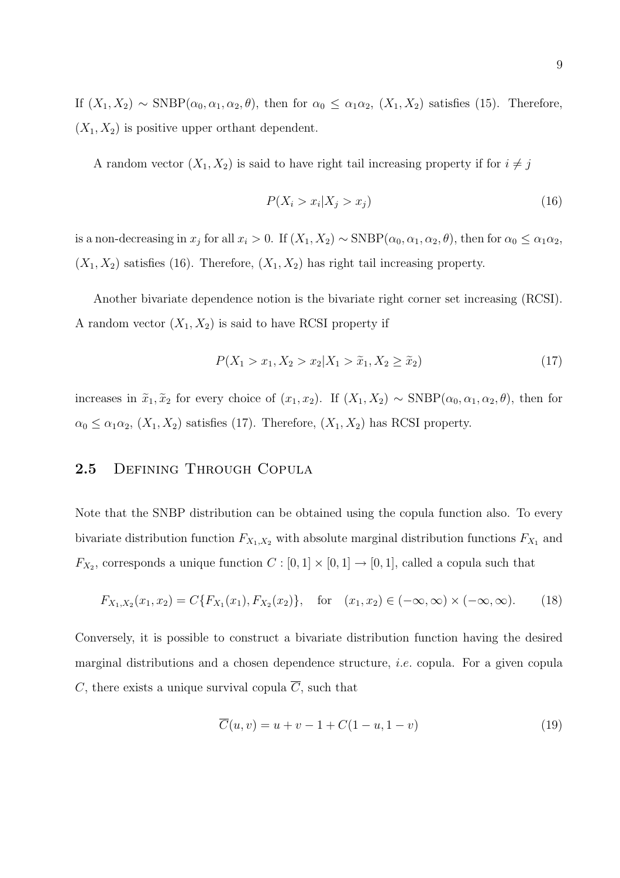If  $(X_1, X_2) \sim \text{SNBP}(\alpha_0, \alpha_1, \alpha_2, \theta)$ , then for  $\alpha_0 \leq \alpha_1 \alpha_2$ ,  $(X_1, X_2)$  satisfies (15). Therefore,  $(X_1, X_2)$  is positive upper orthant dependent.

A random vector  $(X_1, X_2)$  is said to have right tail increasing property if for  $i \neq j$ 

$$
P(X_i > x_i | X_j > x_j) \tag{16}
$$

is a non-decreasing in  $x_j$  for all  $x_i > 0$ . If  $(X_1, X_2) \sim$  SNBP $(\alpha_0, \alpha_1, \alpha_2, \theta)$ , then for  $\alpha_0 \le \alpha_1 \alpha_2$ ,  $(X_1, X_2)$  satisfies (16). Therefore,  $(X_1, X_2)$  has right tail increasing property.

Another bivariate dependence notion is the bivariate right corner set increasing (RCSI). A random vector  $(X_1, X_2)$  is said to have RCSI property if

$$
P(X_1 > x_1, X_2 > x_2 | X_1 > \tilde{x}_1, X_2 \ge \tilde{x}_2)
$$
\n(17)

increases in  $\tilde{x}_1, \tilde{x}_2$  for every choice of  $(x_1, x_2)$ . If  $(X_1, X_2) \sim \text{SNBP}(\alpha_0, \alpha_1, \alpha_2, \theta)$ , then for  $\alpha_0 \leq \alpha_1 \alpha_2$ ,  $(X_1, X_2)$  satisfies (17). Therefore,  $(X_1, X_2)$  has RCSI property.

#### 2.5 Defining Through Copula

Note that the SNBP distribution can be obtained using the copula function also. To every bivariate distribution function  $F_{X_1,X_2}$  with absolute marginal distribution functions  $F_{X_1}$  and  $F_{X_2}$ , corresponds a unique function  $C : [0,1] \times [0,1] \rightarrow [0,1]$ , called a copula such that

$$
F_{X_1,X_2}(x_1,x_2) = C\{F_{X_1}(x_1), F_{X_2}(x_2)\}, \quad \text{for} \quad (x_1,x_2) \in (-\infty, \infty) \times (-\infty, \infty). \tag{18}
$$

Conversely, it is possible to construct a bivariate distribution function having the desired marginal distributions and a chosen dependence structure, i.e. copula. For a given copula C, there exists a unique survival copula  $\overline{C}$ , such that

$$
\overline{C}(u, v) = u + v - 1 + C(1 - u, 1 - v)
$$
\n(19)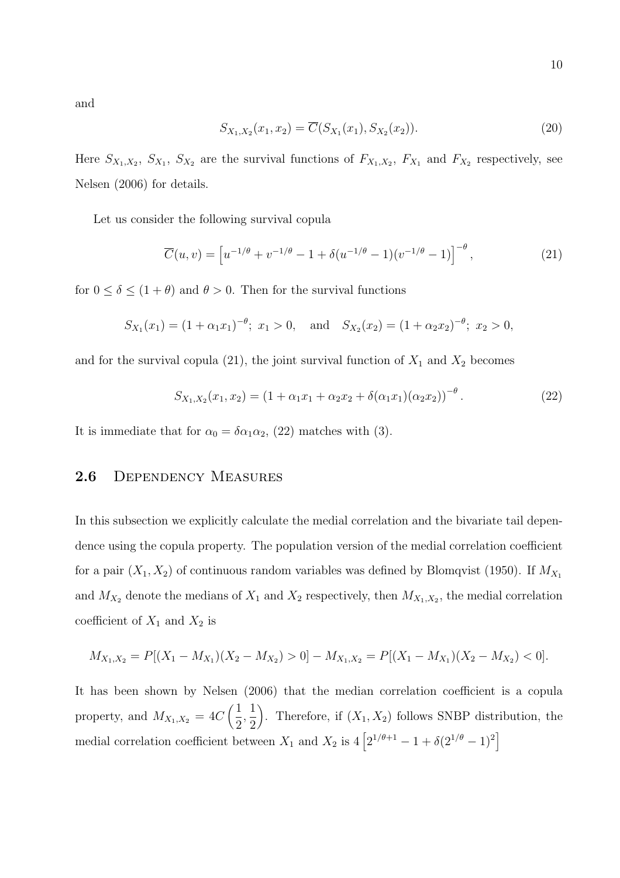and

$$
S_{X_1,X_2}(x_1,x_2) = \overline{C}(S_{X_1}(x_1), S_{X_2}(x_2)).
$$
\n(20)

Here  $S_{X_1,X_2}, S_{X_1}, S_{X_2}$  are the survival functions of  $F_{X_1,X_2}, F_{X_1}$  and  $F_{X_2}$  respectively, see Nelsen (2006) for details.

Let us consider the following survival copula

$$
\overline{C}(u,v) = \left[ u^{-1/\theta} + v^{-1/\theta} - 1 + \delta(u^{-1/\theta} - 1)(v^{-1/\theta} - 1) \right]^{-\theta}, \tag{21}
$$

for  $0 \le \delta \le (1 + \theta)$  and  $\theta > 0$ . Then for the survival functions

$$
S_{X_1}(x_1) = (1 + \alpha_1 x_1)^{-\theta}; \ x_1 > 0, \text{ and } S_{X_2}(x_2) = (1 + \alpha_2 x_2)^{-\theta}; \ x_2 > 0,
$$

and for the survival copula (21), the joint survival function of  $X_1$  and  $X_2$  becomes

$$
S_{X_1,X_2}(x_1,x_2) = (1 + \alpha_1 x_1 + \alpha_2 x_2 + \delta(\alpha_1 x_1)(\alpha_2 x_2))^{-\theta}.
$$
 (22)

It is immediate that for  $\alpha_0 = \delta \alpha_1 \alpha_2$ , (22) matches with (3).

### 2.6 Dependency Measures

In this subsection we explicitly calculate the medial correlation and the bivariate tail dependence using the copula property. The population version of the medial correlation coefficient for a pair  $(X_1, X_2)$  of continuous random variables was defined by Blomqvist (1950). If  $M_{X_1}$ and  $M_{X_2}$  denote the medians of  $X_1$  and  $X_2$  respectively, then  $M_{X_1,X_2}$ , the medial correlation coefficient of  $X_1$  and  $X_2$  is

$$
M_{X_1,X_2} = P[(X_1 - M_{X_1})(X_2 - M_{X_2}) > 0] - M_{X_1,X_2} = P[(X_1 - M_{X_1})(X_2 - M_{X_2}) < 0].
$$

It has been shown by Nelsen (2006) that the median correlation coefficient is a copula property, and  $M_{X_1,X_2} = 4C\left(\frac{1}{2}\right)$ 2  $\frac{1}{2}$ 2 ). Therefore, if  $(X_1, X_2)$  follows SNBP distribution, the medial correlation coefficient between  $X_1$  and  $X_2$  is  $4\left[2^{1/\theta+1} - 1 + \delta(2^{1/\theta} - 1)^2\right]$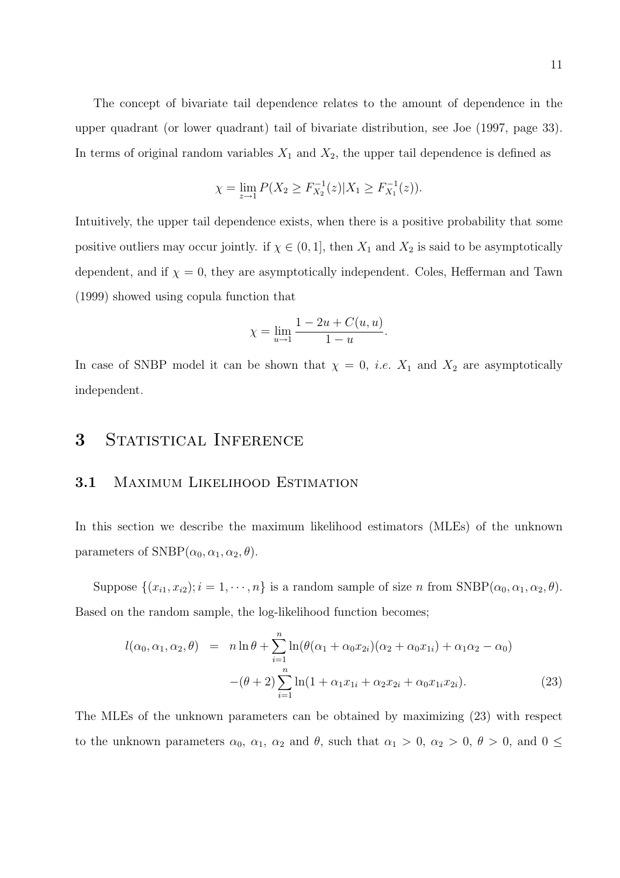The concept of bivariate tail dependence relates to the amount of dependence in the upper quadrant (or lower quadrant) tail of bivariate distribution, see Joe (1997, page 33). In terms of original random variables  $X_1$  and  $X_2$ , the upper tail dependence is defined as

$$
\chi = \lim_{z \to 1} P(X_2 \ge F_{X_2}^{-1}(z) | X_1 \ge F_{X_1}^{-1}(z)).
$$

Intuitively, the upper tail dependence exists, when there is a positive probability that some positive outliers may occur jointly. if  $\chi \in (0,1]$ , then  $X_1$  and  $X_2$  is said to be asymptotically dependent, and if  $\chi = 0$ , they are asymptotically independent. Coles, Hefferman and Tawn (1999) showed using copula function that

$$
\chi = \lim_{u \to 1} \frac{1 - 2u + C(u, u)}{1 - u}.
$$

In case of SNBP model it can be shown that  $\chi = 0$ , *i.e.*  $X_1$  and  $X_2$  are asymptotically independent.

### 3 STATISTICAL INFERENCE

#### 3.1 MAXIMUM LIKELIHOOD ESTIMATION

In this section we describe the maximum likelihood estimators (MLEs) of the unknown parameters of  $SNBP(\alpha_0, \alpha_1, \alpha_2, \theta)$ .

Suppose  $\{(x_{i1}, x_{i2}); i = 1, \dots, n\}$  is a random sample of size n from SNBP $(\alpha_0, \alpha_1, \alpha_2, \theta)$ . Based on the random sample, the log-likelihood function becomes;

$$
l(\alpha_0, \alpha_1, \alpha_2, \theta) = n \ln \theta + \sum_{i=1}^n \ln(\theta(\alpha_1 + \alpha_0 x_{2i})(\alpha_2 + \alpha_0 x_{1i}) + \alpha_1 \alpha_2 - \alpha_0)
$$

$$
-(\theta + 2) \sum_{i=1}^n \ln(1 + \alpha_1 x_{1i} + \alpha_2 x_{2i} + \alpha_0 x_{1i} x_{2i}). \tag{23}
$$

The MLEs of the unknown parameters can be obtained by maximizing (23) with respect to the unknown parameters  $\alpha_0$ ,  $\alpha_1$ ,  $\alpha_2$  and  $\theta$ , such that  $\alpha_1 > 0$ ,  $\alpha_2 > 0$ ,  $\theta > 0$ , and  $0 \le$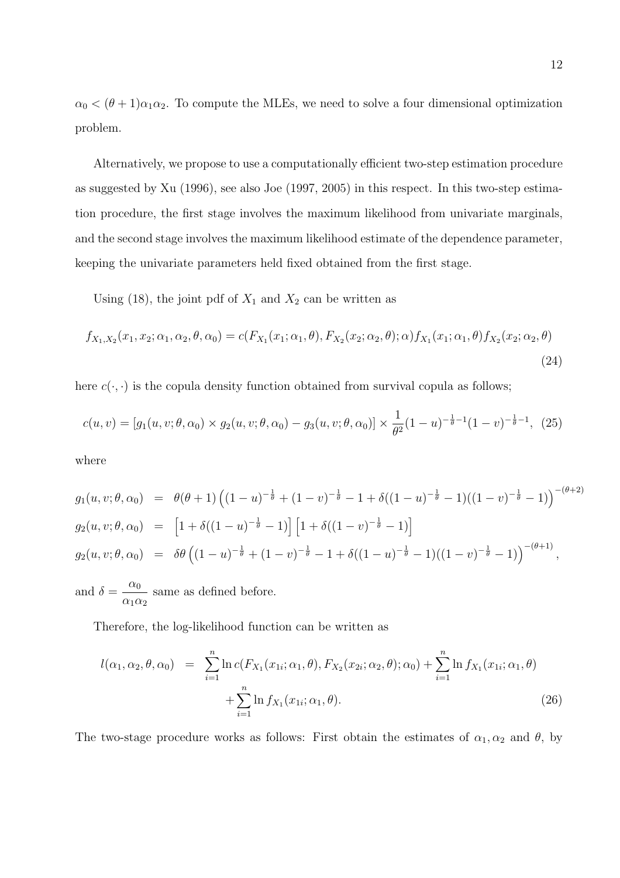$\alpha_0 < (\theta + 1)\alpha_1\alpha_2$ . To compute the MLEs, we need to solve a four dimensional optimization problem.

Alternatively, we propose to use a computationally efficient two-step estimation procedure as suggested by Xu (1996), see also Joe (1997, 2005) in this respect. In this two-step estimation procedure, the first stage involves the maximum likelihood from univariate marginals, and the second stage involves the maximum likelihood estimate of the dependence parameter, keeping the univariate parameters held fixed obtained from the first stage.

Using (18), the joint pdf of  $X_1$  and  $X_2$  can be written as

$$
f_{X_1,X_2}(x_1,x_2;\alpha_1,\alpha_2,\theta,\alpha_0) = c(F_{X_1}(x_1;\alpha_1,\theta),F_{X_2}(x_2;\alpha_2,\theta);\alpha) f_{X_1}(x_1;\alpha_1,\theta) f_{X_2}(x_2;\alpha_2,\theta)
$$
\n(24)

here  $c(\cdot, \cdot)$  is the copula density function obtained from survival copula as follows;

$$
c(u,v) = [g_1(u,v;\theta,\alpha_0) \times g_2(u,v;\theta,\alpha_0) - g_3(u,v;\theta,\alpha_0)] \times \frac{1}{\theta^2} (1-u)^{-\frac{1}{\theta}-1} (1-v)^{-\frac{1}{\theta}-1}, (25)
$$

where

$$
g_1(u, v; \theta, \alpha_0) = \theta(\theta + 1) \left( (1 - u)^{-\frac{1}{\theta}} + (1 - v)^{-\frac{1}{\theta}} - 1 + \delta((1 - u)^{-\frac{1}{\theta}} - 1)((1 - v)^{-\frac{1}{\theta}} - 1) \right)^{-(\theta + 2)}
$$
  
\n
$$
g_2(u, v; \theta, \alpha_0) = \left[ 1 + \delta((1 - u)^{-\frac{1}{\theta}} - 1) \right] \left[ 1 + \delta((1 - v)^{-\frac{1}{\theta}} - 1) \right]
$$
  
\n
$$
g_2(u, v; \theta, \alpha_0) = \delta\theta \left( (1 - u)^{-\frac{1}{\theta}} + (1 - v)^{-\frac{1}{\theta}} - 1 + \delta((1 - u)^{-\frac{1}{\theta}} - 1)((1 - v)^{-\frac{1}{\theta}} - 1) \right)^{-(\theta + 1)},
$$

and  $\delta = \frac{\alpha_0}{\alpha}$  $\frac{\alpha_0}{\alpha_1 \alpha_2}$  same as defined before.

Therefore, the log-likelihood function can be written as

$$
l(\alpha_1, \alpha_2, \theta, \alpha_0) = \sum_{i=1}^n \ln c(F_{X_1}(x_{1i}; \alpha_1, \theta), F_{X_2}(x_{2i}; \alpha_2, \theta); \alpha_0) + \sum_{i=1}^n \ln f_{X_1}(x_{1i}; \alpha_1, \theta) + \sum_{i=1}^n \ln f_{X_1}(x_{1i}; \alpha_1, \theta).
$$
\n(26)

The two-stage procedure works as follows: First obtain the estimates of  $\alpha_1, \alpha_2$  and  $\theta$ , by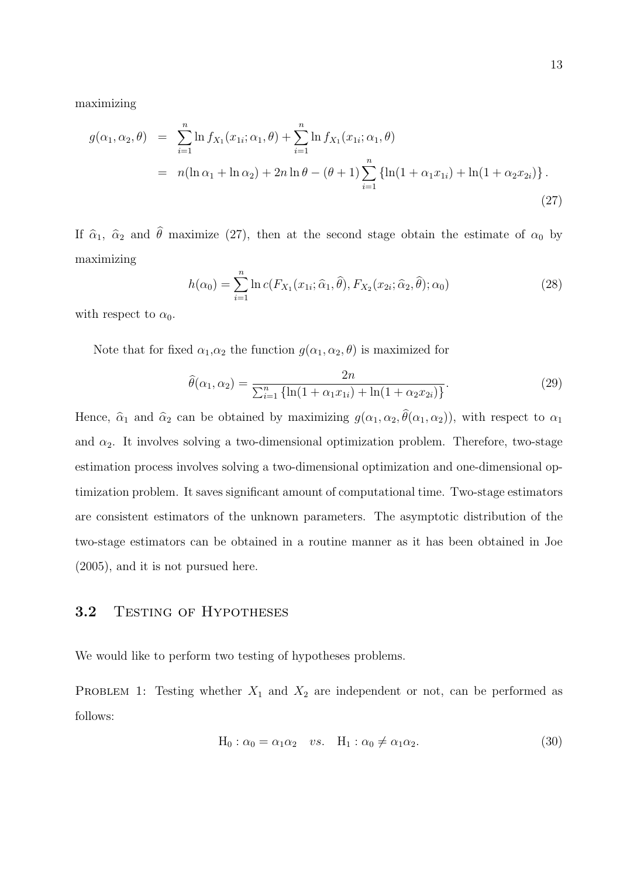maximizing

$$
g(\alpha_1, \alpha_2, \theta) = \sum_{i=1}^n \ln f_{X_1}(x_{1i}; \alpha_1, \theta) + \sum_{i=1}^n \ln f_{X_1}(x_{1i}; \alpha_1, \theta)
$$
  
=  $n(\ln \alpha_1 + \ln \alpha_2) + 2n \ln \theta - (\theta + 1) \sum_{i=1}^n \{\ln(1 + \alpha_1 x_{1i}) + \ln(1 + \alpha_2 x_{2i})\}.$  (27)

If  $\hat{\alpha}_1$ ,  $\hat{\alpha}_2$  and  $\hat{\theta}$  maximize (27), then at the second stage obtain the estimate of  $\alpha_0$  by maximizing

$$
h(\alpha_0) = \sum_{i=1}^n \ln c(F_{X_1}(x_{1i}; \widehat{\alpha}_1, \widehat{\theta}), F_{X_2}(x_{2i}; \widehat{\alpha}_2, \widehat{\theta}); \alpha_0)
$$
\n(28)

with respect to  $\alpha_0$ .

Note that for fixed  $\alpha_1, \alpha_2$  the function  $g(\alpha_1, \alpha_2, \theta)$  is maximized for

$$
\hat{\theta}(\alpha_1, \alpha_2) = \frac{2n}{\sum_{i=1}^n \{ \ln(1 + \alpha_1 x_{1i}) + \ln(1 + \alpha_2 x_{2i}) \}}.
$$
\n(29)

Hence,  $\hat{\alpha}_1$  and  $\hat{\alpha}_2$  can be obtained by maximizing  $g(\alpha_1, \alpha_2, \theta(\alpha_1, \alpha_2))$ , with respect to  $\alpha_1$ and  $\alpha_2$ . It involves solving a two-dimensional optimization problem. Therefore, two-stage estimation process involves solving a two-dimensional optimization and one-dimensional optimization problem. It saves significant amount of computational time. Two-stage estimators are consistent estimators of the unknown parameters. The asymptotic distribution of the two-stage estimators can be obtained in a routine manner as it has been obtained in Joe (2005), and it is not pursued here.

#### 3.2 TESTING OF HYPOTHESES

We would like to perform two testing of hypotheses problems.

PROBLEM 1: Testing whether  $X_1$  and  $X_2$  are independent or not, can be performed as follows:

$$
H_0: \alpha_0 = \alpha_1 \alpha_2 \quad vs. \quad H_1: \alpha_0 \neq \alpha_1 \alpha_2. \tag{30}
$$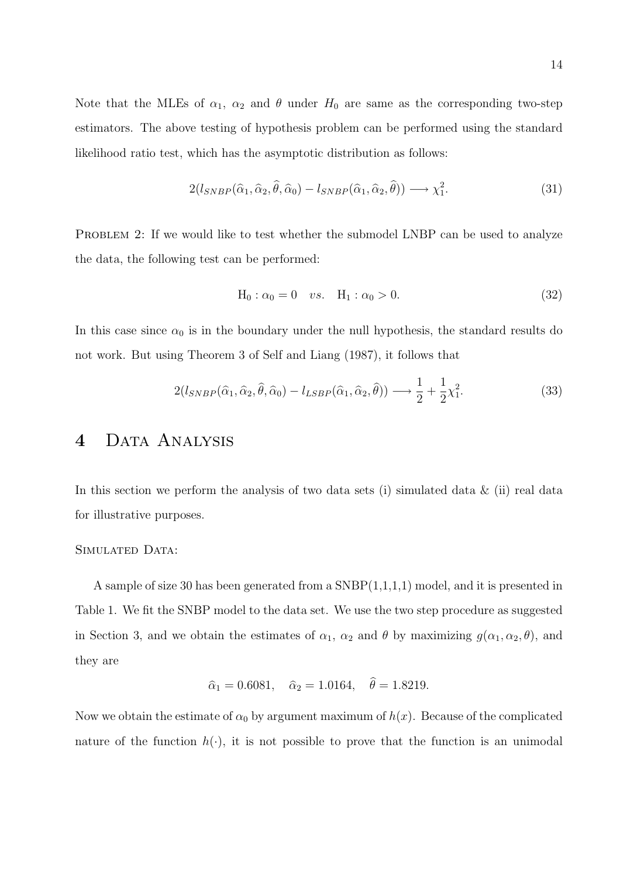Note that the MLEs of  $\alpha_1$ ,  $\alpha_2$  and  $\theta$  under  $H_0$  are same as the corresponding two-step estimators. The above testing of hypothesis problem can be performed using the standard likelihood ratio test, which has the asymptotic distribution as follows:

$$
2(l_{SNBP}(\hat{\alpha}_1, \hat{\alpha}_2, \hat{\theta}, \hat{\alpha}_0) - l_{SNBP}(\hat{\alpha}_1, \hat{\alpha}_2, \hat{\theta})) \longrightarrow \chi_1^2.
$$
 (31)

PROBLEM 2: If we would like to test whether the submodel LNBP can be used to analyze the data, the following test can be performed:

$$
H_0: \alpha_0 = 0
$$
 vs.  $H_1: \alpha_0 > 0.$  (32)

In this case since  $\alpha_0$  is in the boundary under the null hypothesis, the standard results do not work. But using Theorem 3 of Self and Liang (1987), it follows that

$$
2(l_{SNBP}(\hat{\alpha}_1, \hat{\alpha}_2, \hat{\theta}, \hat{\alpha}_0) - l_{LSBP}(\hat{\alpha}_1, \hat{\alpha}_2, \hat{\theta})) \longrightarrow \frac{1}{2} + \frac{1}{2}\chi_1^2.
$$
 (33)

## 4 DATA ANALYSIS

In this section we perform the analysis of two data sets (i) simulated data  $\&$  (ii) real data for illustrative purposes.

#### SIMULATED DATA:

A sample of size 30 has been generated from a SNBP(1,1,1,1) model, and it is presented in Table 1. We fit the SNBP model to the data set. We use the two step procedure as suggested in Section 3, and we obtain the estimates of  $\alpha_1$ ,  $\alpha_2$  and  $\theta$  by maximizing  $g(\alpha_1, \alpha_2, \theta)$ , and they are

$$
\hat{\alpha}_1 = 0.6081
$$
,  $\hat{\alpha}_2 = 1.0164$ ,  $\hat{\theta} = 1.8219$ .

Now we obtain the estimate of  $\alpha_0$  by argument maximum of  $h(x)$ . Because of the complicated nature of the function  $h(\cdot)$ , it is not possible to prove that the function is an unimodal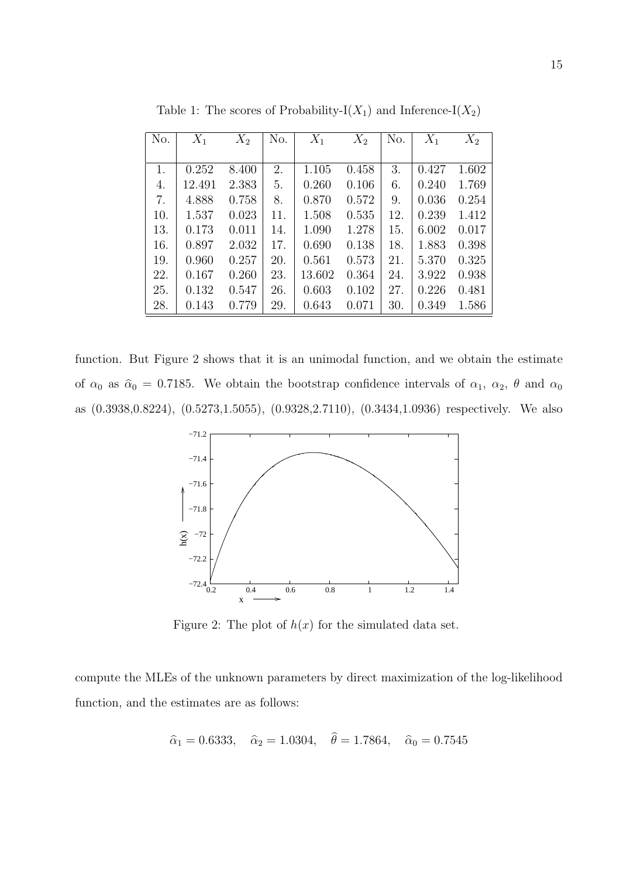| No. | $X_1$  | $X_2$ | No. | $X_1$  | $X_2$ | No. | $X_1$ | $X_2$ |
|-----|--------|-------|-----|--------|-------|-----|-------|-------|
|     |        |       |     |        |       |     |       |       |
| 1.  | 0.252  | 8.400 | 2.  | 1.105  | 0.458 | 3.  | 0.427 | 1.602 |
| 4.  | 12.491 | 2.383 | 5.  | 0.260  | 0.106 | 6.  | 0.240 | 1.769 |
| 7.  | 4.888  | 0.758 | 8.  | 0.870  | 0.572 | 9.  | 0.036 | 0.254 |
| 10. | 1.537  | 0.023 | 11. | 1.508  | 0.535 | 12. | 0.239 | 1.412 |
| 13. | 0.173  | 0.011 | 14. | 1.090  | 1.278 | 15. | 6.002 | 0.017 |
| 16. | 0.897  | 2.032 | 17. | 0.690  | 0.138 | 18. | 1.883 | 0.398 |
| 19. | 0.960  | 0.257 | 20. | 0.561  | 0.573 | 21. | 5.370 | 0.325 |
| 22. | 0.167  | 0.260 | 23. | 13.602 | 0.364 | 24. | 3.922 | 0.938 |
| 25. | 0.132  | 0.547 | 26. | 0.603  | 0.102 | 27. | 0.226 | 0.481 |
| 28. | 0.143  | 0.779 | 29. | 0.643  | 0.071 | 30. | 0.349 | 1.586 |

Table 1: The scores of Probability-I $(X_1)$  and Inference-I $(X_2)$ 

function. But Figure 2 shows that it is an unimodal function, and we obtain the estimate of  $\alpha_0$  as  $\hat{\alpha}_0 = 0.7185$ . We obtain the bootstrap confidence intervals of  $\alpha_1$ ,  $\alpha_2$ ,  $\theta$  and  $\alpha_0$ as (0.3938,0.8224), (0.5273,1.5055), (0.9328,2.7110), (0.3434,1.0936) respectively. We also



Figure 2: The plot of  $h(x)$  for the simulated data set.

compute the MLEs of the unknown parameters by direct maximization of the log-likelihood function, and the estimates are as follows:

$$
\hat{\alpha}_1 = 0.6333
$$
,  $\hat{\alpha}_2 = 1.0304$ ,  $\theta = 1.7864$ ,  $\hat{\alpha}_0 = 0.7545$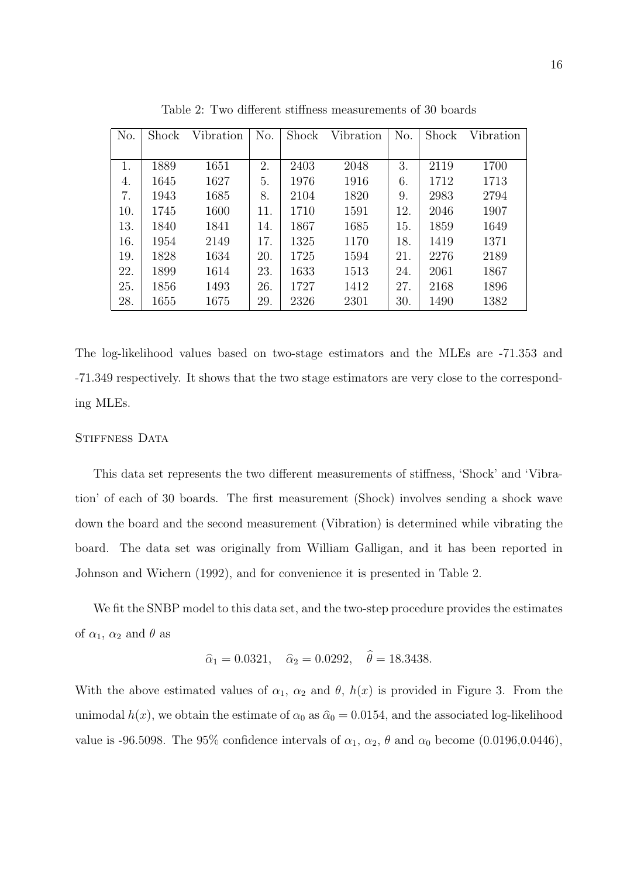| No. | Shock | Vibration | No. | Shock | Vibration | No. | Shock | Vibration |
|-----|-------|-----------|-----|-------|-----------|-----|-------|-----------|
|     |       |           |     |       |           |     |       |           |
| 1.  | 1889  | 1651      | 2.  | 2403  | 2048      | 3.  | 2119  | 1700      |
| 4.  | 1645  | 1627      | 5.  | 1976  | 1916      | 6.  | 1712  | 1713      |
| 7.  | 1943  | 1685      | 8.  | 2104  | 1820      | 9.  | 2983  | 2794      |
| 10. | 1745  | 1600      | 11. | 1710  | 1591      | 12. | 2046  | 1907      |
| 13. | 1840  | 1841      | 14. | 1867  | 1685      | 15. | 1859  | 1649      |
| 16. | 1954  | 2149      | 17. | 1325  | 1170      | 18. | 1419  | 1371      |
| 19. | 1828  | 1634      | 20. | 1725  | 1594      | 21. | 2276  | 2189      |
| 22. | 1899  | 1614      | 23. | 1633  | 1513      | 24. | 2061  | 1867      |
| 25. | 1856  | 1493      | 26. | 1727  | 1412      | 27. | 2168  | 1896      |
| 28. | 1655  | 1675      | 29. | 2326  | 2301      | 30. | 1490  | 1382      |

Table 2: Two different stiffness measurements of 30 boards

The log-likelihood values based on two-stage estimators and the MLEs are -71.353 and -71.349 respectively. It shows that the two stage estimators are very close to the corresponding MLEs.

#### STIFFNESS DATA

This data set represents the two different measurements of stiffness, 'Shock' and 'Vibration' of each of 30 boards. The first measurement (Shock) involves sending a shock wave down the board and the second measurement (Vibration) is determined while vibrating the board. The data set was originally from William Galligan, and it has been reported in Johnson and Wichern (1992), and for convenience it is presented in Table 2.

We fit the SNBP model to this data set, and the two-step procedure provides the estimates of  $\alpha_1$ ,  $\alpha_2$  and  $\theta$  as

$$
\hat{\alpha}_1 = 0.0321
$$
,  $\hat{\alpha}_2 = 0.0292$ ,  $\hat{\theta} = 18.3438$ .

With the above estimated values of  $\alpha_1$ ,  $\alpha_2$  and  $\theta$ ,  $h(x)$  is provided in Figure 3. From the unimodal  $h(x)$ , we obtain the estimate of  $\alpha_0$  as  $\hat{\alpha}_0 = 0.0154$ , and the associated log-likelihood value is -96.5098. The 95% confidence intervals of  $\alpha_1, \alpha_2, \theta$  and  $\alpha_0$  become (0.0196,0.0446),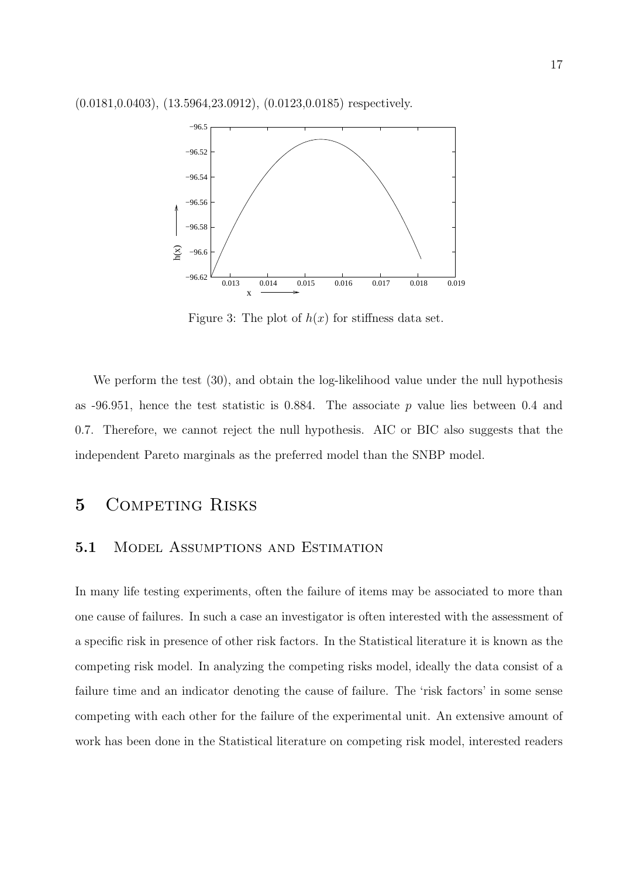

Figure 3: The plot of  $h(x)$  for stiffness data set.

We perform the test (30), and obtain the log-likelihood value under the null hypothesis as  $-96.951$ , hence the test statistic is 0.884. The associate p value lies between 0.4 and 0.7. Therefore, we cannot reject the null hypothesis. AIC or BIC also suggests that the independent Pareto marginals as the preferred model than the SNBP model.

## 5 COMPETING RISKS

#### 5.1 MODEL ASSUMPTIONS AND ESTIMATION

In many life testing experiments, often the failure of items may be associated to more than one cause of failures. In such a case an investigator is often interested with the assessment of a specific risk in presence of other risk factors. In the Statistical literature it is known as the competing risk model. In analyzing the competing risks model, ideally the data consist of a failure time and an indicator denoting the cause of failure. The 'risk factors' in some sense competing with each other for the failure of the experimental unit. An extensive amount of work has been done in the Statistical literature on competing risk model, interested readers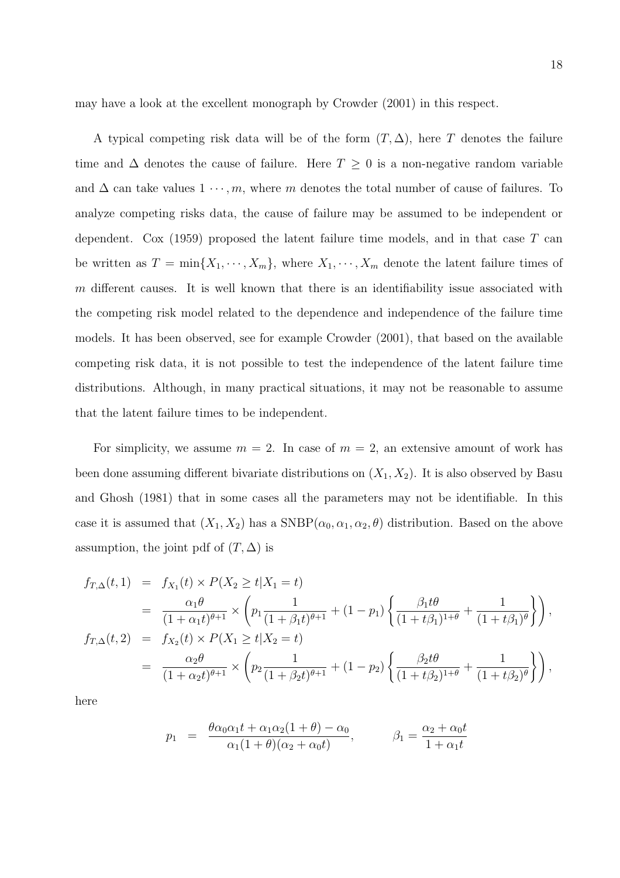may have a look at the excellent monograph by Crowder (2001) in this respect.

A typical competing risk data will be of the form  $(T, \Delta)$ , here T denotes the failure time and  $\Delta$  denotes the cause of failure. Here  $T \geq 0$  is a non-negative random variable and  $\Delta$  can take values  $1 \cdots, m$ , where m denotes the total number of cause of failures. To analyze competing risks data, the cause of failure may be assumed to be independent or dependent. Cox  $(1959)$  proposed the latent failure time models, and in that case T can be written as  $T = \min\{X_1, \dots, X_m\}$ , where  $X_1, \dots, X_m$  denote the latent failure times of m different causes. It is well known that there is an identifiability issue associated with the competing risk model related to the dependence and independence of the failure time models. It has been observed, see for example Crowder (2001), that based on the available competing risk data, it is not possible to test the independence of the latent failure time distributions. Although, in many practical situations, it may not be reasonable to assume that the latent failure times to be independent.

For simplicity, we assume  $m = 2$ . In case of  $m = 2$ , an extensive amount of work has been done assuming different bivariate distributions on  $(X_1, X_2)$ . It is also observed by Basu and Ghosh (1981) that in some cases all the parameters may not be identifiable. In this case it is assumed that  $(X_1, X_2)$  has a SNBP $(\alpha_0, \alpha_1, \alpha_2, \theta)$  distribution. Based on the above assumption, the joint pdf of  $(T, \Delta)$  is

$$
f_{T,\Delta}(t,1) = f_{X_1}(t) \times P(X_2 \ge t | X_1 = t)
$$
  
\n
$$
= \frac{\alpha_1 \theta}{(1 + \alpha_1 t)^{\theta+1}} \times \left( p_1 \frac{1}{(1 + \beta_1 t)^{\theta+1}} + (1 - p_1) \left\{ \frac{\beta_1 t \theta}{(1 + t \beta_1)^{1+\theta}} + \frac{1}{(1 + t \beta_1)^{\theta}} \right\} \right),
$$
  
\n
$$
f_{T,\Delta}(t,2) = f_{X_2}(t) \times P(X_1 \ge t | X_2 = t)
$$
  
\n
$$
= \frac{\alpha_2 \theta}{(1 + \alpha_2 t)^{\theta+1}} \times \left( p_2 \frac{1}{(1 + \beta_2 t)^{\theta+1}} + (1 - p_2) \left\{ \frac{\beta_2 t \theta}{(1 + t \beta_2)^{1+\theta}} + \frac{1}{(1 + t \beta_2)^{\theta}} \right\} \right),
$$

here

$$
p_1 = \frac{\theta \alpha_0 \alpha_1 t + \alpha_1 \alpha_2 (1 + \theta) - \alpha_0}{\alpha_1 (1 + \theta)(\alpha_2 + \alpha_0 t)}, \qquad \beta_1 = \frac{\alpha_2 + \alpha_0 t}{1 + \alpha_1 t}
$$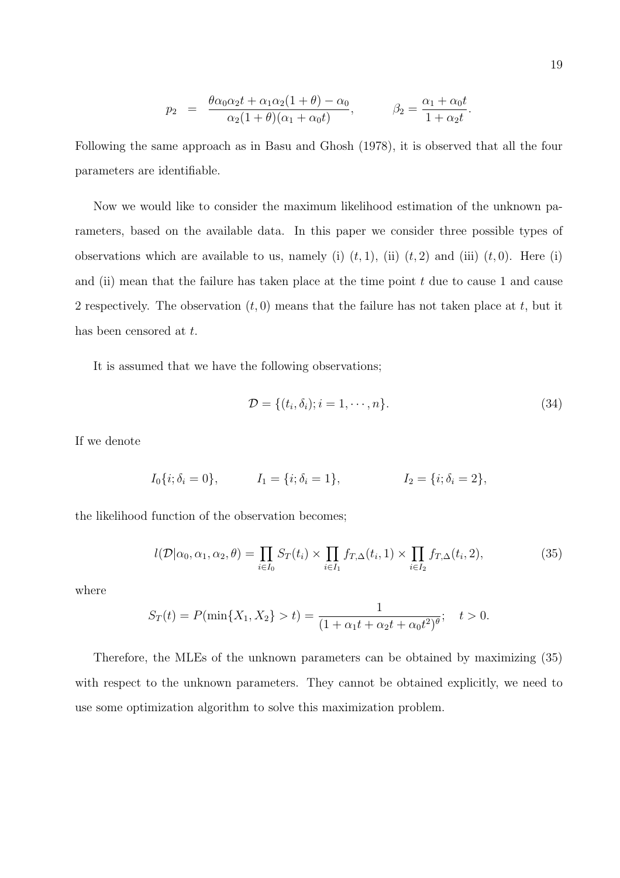$$
p_2 = \frac{\theta \alpha_0 \alpha_2 t + \alpha_1 \alpha_2 (1 + \theta) - \alpha_0}{\alpha_2 (1 + \theta)(\alpha_1 + \alpha_0 t)}, \qquad \beta_2 = \frac{\alpha_1 + \alpha_0 t}{1 + \alpha_2 t}.
$$

Following the same approach as in Basu and Ghosh (1978), it is observed that all the four parameters are identifiable.

Now we would like to consider the maximum likelihood estimation of the unknown parameters, based on the available data. In this paper we consider three possible types of observations which are available to us, namely (i)  $(t, 1)$ , (ii)  $(t, 2)$  and (iii)  $(t, 0)$ . Here (i) and (ii) mean that the failure has taken place at the time point  $t$  due to cause 1 and cause 2 respectively. The observation  $(t, 0)$  means that the failure has not taken place at t, but it has been censored at  $t$ .

It is assumed that we have the following observations;

$$
\mathcal{D} = \{(t_i, \delta_i); i = 1, \cdots, n\}.
$$
\n
$$
(34)
$$

If we denote

$$
I_0{i; \delta_i = 0},
$$
  $I_1 = {i; \delta_i = 1},$   $I_2 = {i; \delta_i = 2},$ 

the likelihood function of the observation becomes;

$$
l(\mathcal{D}|\alpha_0,\alpha_1,\alpha_2,\theta) = \prod_{i\in I_0} S_T(t_i) \times \prod_{i\in I_1} f_{T,\Delta}(t_i,1) \times \prod_{i\in I_2} f_{T,\Delta}(t_i,2),\tag{35}
$$

where

$$
S_T(t) = P(\min\{X_1, X_2\} > t) = \frac{1}{(1 + \alpha_1 t + \alpha_2 t + \alpha_0 t^2)^{\theta}}; \quad t > 0.
$$

Therefore, the MLEs of the unknown parameters can be obtained by maximizing (35) with respect to the unknown parameters. They cannot be obtained explicitly, we need to use some optimization algorithm to solve this maximization problem.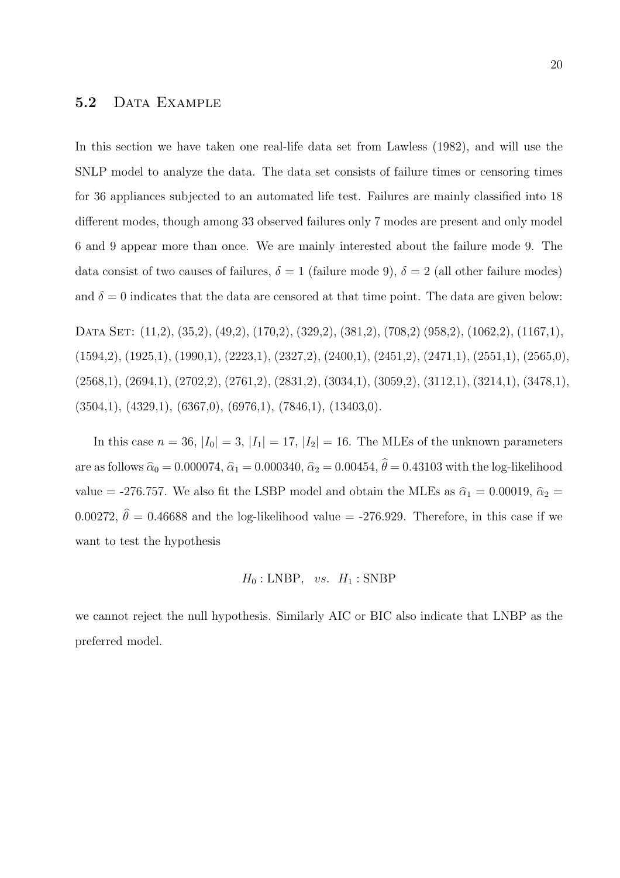### 5.2 DATA EXAMPLE

In this section we have taken one real-life data set from Lawless (1982), and will use the SNLP model to analyze the data. The data set consists of failure times or censoring times for 36 appliances subjected to an automated life test. Failures are mainly classified into 18 different modes, though among 33 observed failures only 7 modes are present and only model 6 and 9 appear more than once. We are mainly interested about the failure mode 9. The data consist of two causes of failures,  $\delta = 1$  (failure mode 9),  $\delta = 2$  (all other failure modes) and  $\delta = 0$  indicates that the data are censored at that time point. The data are given below:

DATA SET: (11,2), (35,2), (49,2), (170,2), (329,2), (381,2), (708,2) (958,2), (1062,2), (1167,1),  $(1594,2), (1925,1), (1990,1), (2223,1), (2327,2), (2400,1), (2451,2), (2471,1), (2551,1), (2565,0),$  $(2568,1), (2694,1), (2702,2), (2761,2), (2831,2), (3034,1), (3059,2), (3112,1), (3214,1), (3478,1),$  $(3504,1), (4329,1), (6367,0), (6976,1), (7846,1), (13403,0).$ 

In this case  $n = 36$ ,  $|I_0| = 3$ ,  $|I_1| = 17$ ,  $|I_2| = 16$ . The MLEs of the unknown parameters are as follows  $\hat{\alpha}_0 = 0.000074$ ,  $\hat{\alpha}_1 = 0.000340$ ,  $\hat{\alpha}_2 = 0.00454$ ,  $\hat{\theta} = 0.43103$  with the log-likelihood value = -276.757. We also fit the LSBP model and obtain the MLEs as  $\hat{\alpha}_1 = 0.00019$ ,  $\hat{\alpha}_2 =$ 0.00272,  $\hat{\theta} = 0.46688$  and the log-likelihood value = -276.929. Therefore, in this case if we want to test the hypothesis

$$
H_0: \text{LNBP}, \ \ vs. \ \ H_1: \text{SNBP}
$$

we cannot reject the null hypothesis. Similarly AIC or BIC also indicate that LNBP as the preferred model.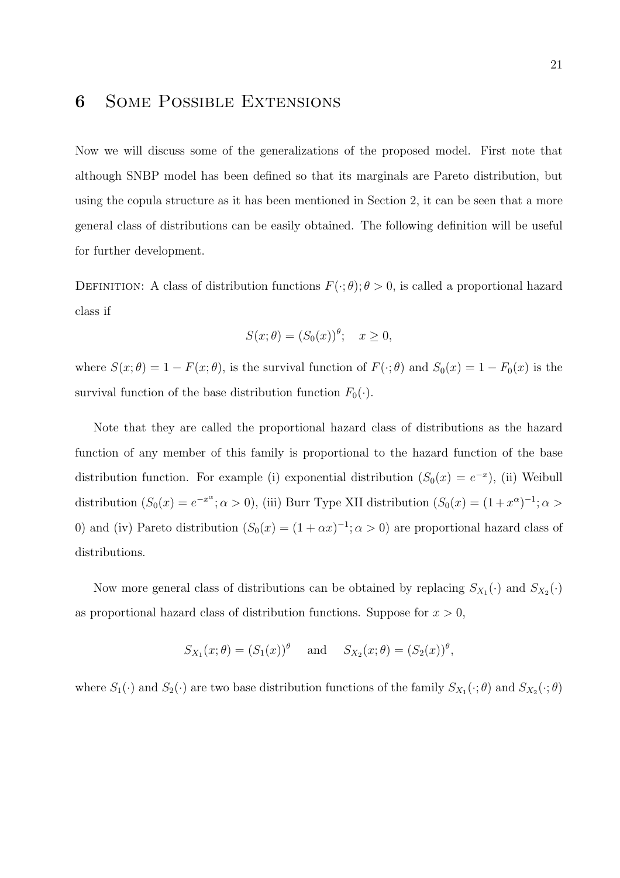# 6 Some Possible Extensions

Now we will discuss some of the generalizations of the proposed model. First note that although SNBP model has been defined so that its marginals are Pareto distribution, but using the copula structure as it has been mentioned in Section 2, it can be seen that a more general class of distributions can be easily obtained. The following definition will be useful for further development.

DEFINITION: A class of distribution functions  $F(\cdot; \theta)$ ;  $\theta > 0$ , is called a proportional hazard class if

$$
S(x; \theta) = (S_0(x))^{\theta}; \quad x \ge 0,
$$

where  $S(x; \theta) = 1 - F(x; \theta)$ , is the survival function of  $F(\cdot; \theta)$  and  $S_0(x) = 1 - F_0(x)$  is the survival function of the base distribution function  $F_0(\cdot)$ .

Note that they are called the proportional hazard class of distributions as the hazard function of any member of this family is proportional to the hazard function of the base distribution function. For example (i) exponential distribution  $(S_0(x) = e^{-x})$ , (ii) Weibull distribution  $(S_0(x) = e^{-x^{\alpha}}; \alpha > 0)$ , (iii) Burr Type XII distribution  $(S_0(x) = (1+x^{\alpha})^{-1}; \alpha >$ 0) and (iv) Pareto distribution  $(S_0(x) = (1 + \alpha x)^{-1}; \alpha > 0)$  are proportional hazard class of distributions.

Now more general class of distributions can be obtained by replacing  $S_{X_1}(\cdot)$  and  $S_{X_2}(\cdot)$ as proportional hazard class of distribution functions. Suppose for  $x > 0$ ,

$$
S_{X_1}(x; \theta) = (S_1(x))^{\theta}
$$
 and  $S_{X_2}(x; \theta) = (S_2(x))^{\theta}$ ,

where  $S_1(\cdot)$  and  $S_2(\cdot)$  are two base distribution functions of the family  $S_{X_1}(\cdot;\theta)$  and  $S_{X_2}(\cdot;\theta)$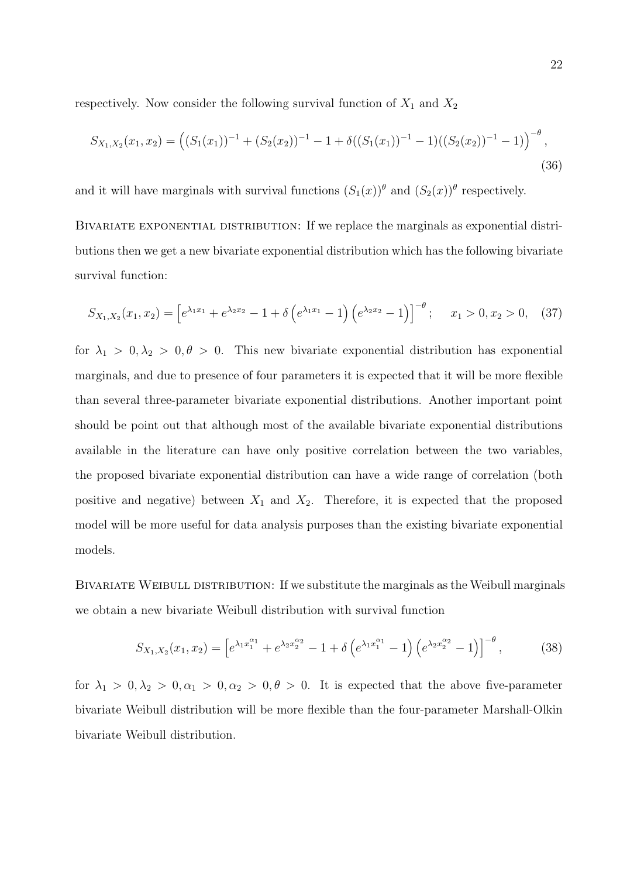respectively. Now consider the following survival function of  $X_1$  and  $X_2$ 

$$
S_{X_1,X_2}(x_1,x_2) = ((S_1(x_1))^{-1} + (S_2(x_2))^{-1} - 1 + \delta((S_1(x_1))^{-1} - 1)((S_2(x_2))^{-1} - 1))^{-\theta},
$$
\n(36)

and it will have marginals with survival functions  $(S_1(x))^{\theta}$  and  $(S_2(x))^{\theta}$  respectively.

BIVARIATE EXPONENTIAL DISTRIBUTION: If we replace the marginals as exponential distributions then we get a new bivariate exponential distribution which has the following bivariate survival function:

$$
S_{X_1,X_2}(x_1,x_2) = \left[e^{\lambda_1 x_1} + e^{\lambda_2 x_2} - 1 + \delta\left(e^{\lambda_1 x_1} - 1\right)\left(e^{\lambda_2 x_2} - 1\right)\right]^{-\theta}; \quad x_1 > 0, x_2 > 0,\tag{37}
$$

for  $\lambda_1 > 0, \lambda_2 > 0, \theta > 0$ . This new bivariate exponential distribution has exponential marginals, and due to presence of four parameters it is expected that it will be more flexible than several three-parameter bivariate exponential distributions. Another important point should be point out that although most of the available bivariate exponential distributions available in the literature can have only positive correlation between the two variables, the proposed bivariate exponential distribution can have a wide range of correlation (both positive and negative) between  $X_1$  and  $X_2$ . Therefore, it is expected that the proposed model will be more useful for data analysis purposes than the existing bivariate exponential models.

BIVARIATE WEIBULL DISTRIBUTION: If we substitute the marginals as the Weibull marginals we obtain a new bivariate Weibull distribution with survival function

$$
S_{X_1,X_2}(x_1,x_2) = \left[e^{\lambda_1 x_1^{\alpha_1}} + e^{\lambda_2 x_2^{\alpha_2}} - 1 + \delta\left(e^{\lambda_1 x_1^{\alpha_1}} - 1\right)\left(e^{\lambda_2 x_2^{\alpha_2}} - 1\right)\right]^{-\theta},\tag{38}
$$

for  $\lambda_1 > 0, \lambda_2 > 0, \alpha_1 > 0, \alpha_2 > 0, \theta > 0$ . It is expected that the above five-parameter bivariate Weibull distribution will be more flexible than the four-parameter Marshall-Olkin bivariate Weibull distribution.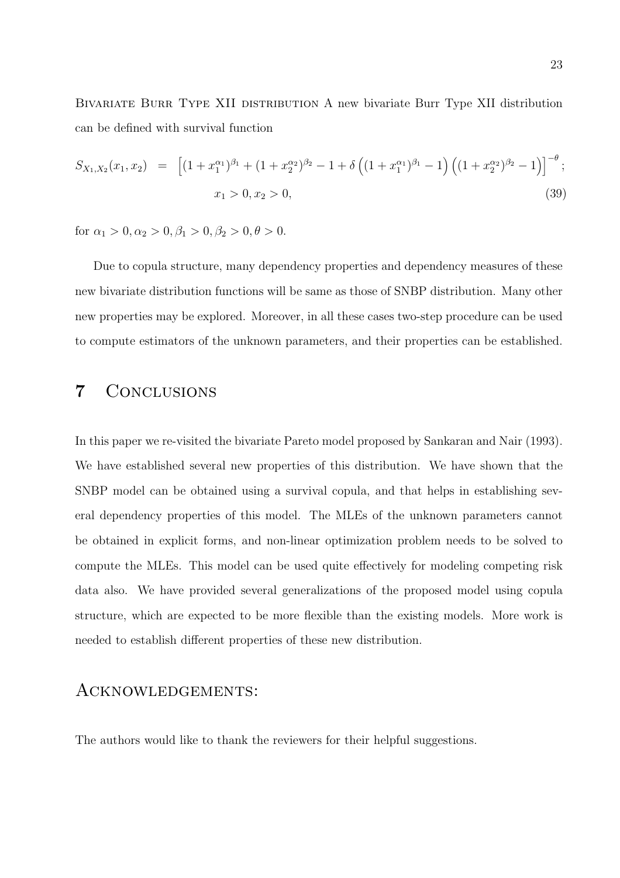Bivariate Burr Type XII distribution A new bivariate Burr Type XII distribution can be defined with survival function

$$
S_{X_1,X_2}(x_1,x_2) = \left[ (1+x_1^{\alpha_1})^{\beta_1} + (1+x_2^{\alpha_2})^{\beta_2} - 1 + \delta \left( (1+x_1^{\alpha_1})^{\beta_1} - 1 \right) \left( (1+x_2^{\alpha_2})^{\beta_2} - 1 \right) \right]^{-\theta};
$$
  

$$
x_1 > 0, x_2 > 0,
$$
 (39)

for  $\alpha_1 > 0, \alpha_2 > 0, \beta_1 > 0, \beta_2 > 0, \theta > 0$ .

Due to copula structure, many dependency properties and dependency measures of these new bivariate distribution functions will be same as those of SNBP distribution. Many other new properties may be explored. Moreover, in all these cases two-step procedure can be used to compute estimators of the unknown parameters, and their properties can be established.

# 7 Conclusions

In this paper we re-visited the bivariate Pareto model proposed by Sankaran and Nair (1993). We have established several new properties of this distribution. We have shown that the SNBP model can be obtained using a survival copula, and that helps in establishing several dependency properties of this model. The MLEs of the unknown parameters cannot be obtained in explicit forms, and non-linear optimization problem needs to be solved to compute the MLEs. This model can be used quite effectively for modeling competing risk data also. We have provided several generalizations of the proposed model using copula structure, which are expected to be more flexible than the existing models. More work is needed to establish different properties of these new distribution.

### Acknowledgements:

The authors would like to thank the reviewers for their helpful suggestions.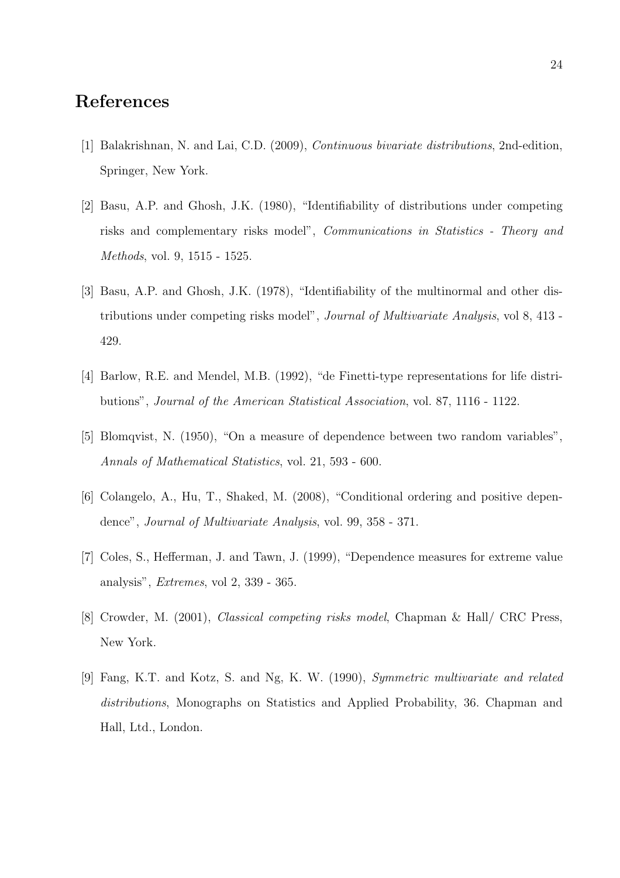# References

- [1] Balakrishnan, N. and Lai, C.D. (2009), Continuous bivariate distributions, 2nd-edition, Springer, New York.
- [2] Basu, A.P. and Ghosh, J.K. (1980), "Identifiability of distributions under competing risks and complementary risks model", Communications in Statistics - Theory and Methods, vol. 9, 1515 - 1525.
- [3] Basu, A.P. and Ghosh, J.K. (1978), "Identifiability of the multinormal and other distributions under competing risks model", Journal of Multivariate Analysis, vol 8, 413 - 429.
- [4] Barlow, R.E. and Mendel, M.B. (1992), "de Finetti-type representations for life distributions", Journal of the American Statistical Association, vol. 87, 1116 - 1122.
- [5] Blomqvist, N. (1950), "On a measure of dependence between two random variables", Annals of Mathematical Statistics, vol. 21, 593 - 600.
- [6] Colangelo, A., Hu, T., Shaked, M. (2008), "Conditional ordering and positive dependence", Journal of Multivariate Analysis, vol. 99, 358 - 371.
- [7] Coles, S., Hefferman, J. and Tawn, J. (1999), "Dependence measures for extreme value analysis", Extremes, vol 2, 339 - 365.
- [8] Crowder, M. (2001), Classical competing risks model, Chapman & Hall/ CRC Press, New York.
- [9] Fang, K.T. and Kotz, S. and Ng, K. W. (1990), Symmetric multivariate and related distributions, Monographs on Statistics and Applied Probability, 36. Chapman and Hall, Ltd., London.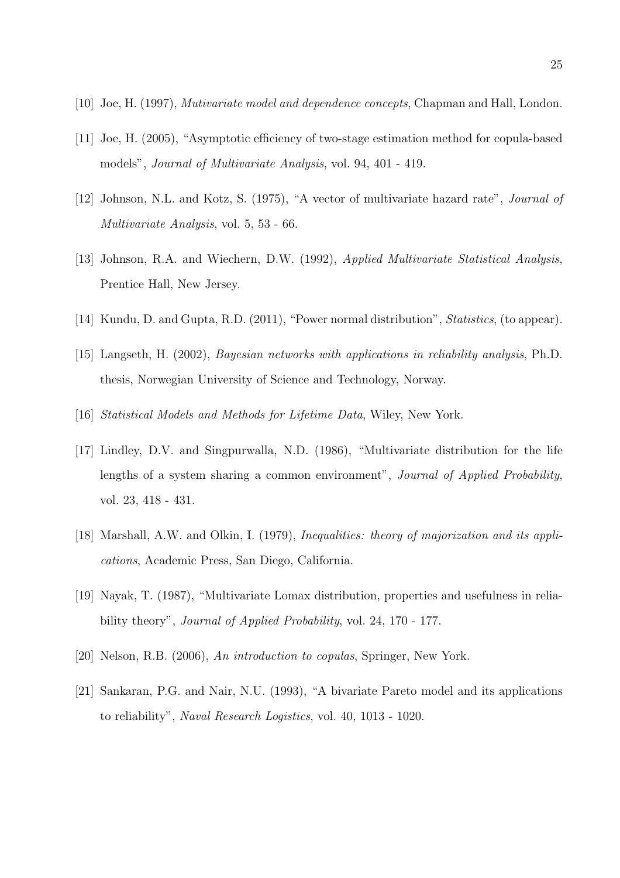- [10] Joe, H. (1997), Mutivariate model and dependence concepts, Chapman and Hall, London.
- [11] Joe, H. (2005), "Asymptotic efficiency of two-stage estimation method for copula-based models", Journal of Multivariate Analysis, vol. 94, 401 - 419.
- [12] Johnson, N.L. and Kotz, S. (1975), "A vector of multivariate hazard rate", Journal of Multivariate Analysis, vol. 5, 53 - 66.
- [13] Johnson, R.A. and Wiechern, D.W. (1992), Applied Multivariate Statistical Analysis, Prentice Hall, New Jersey.
- [14] Kundu, D. and Gupta, R.D. (2011), "Power normal distribution", *Statistics*, (to appear).
- [15] Langseth, H. (2002), Bayesian networks with applications in reliability analysis, Ph.D. thesis, Norwegian University of Science and Technology, Norway.
- [16] Statistical Models and Methods for Lifetime Data, Wiley, New York.
- [17] Lindley, D.V. and Singpurwalla, N.D. (1986), "Multivariate distribution for the life lengths of a system sharing a common environment", Journal of Applied Probability, vol. 23, 418 - 431.
- [18] Marshall, A.W. and Olkin, I. (1979), *Inequalities: theory of majorization and its appli*cations, Academic Press, San Diego, California.
- [19] Nayak, T. (1987), "Multivariate Lomax distribution, properties and usefulness in reliability theory", Journal of Applied Probability, vol. 24, 170 - 177.
- [20] Nelson, R.B. (2006), An introduction to copulas, Springer, New York.
- [21] Sankaran, P.G. and Nair, N.U. (1993), "A bivariate Pareto model and its applications to reliability", Naval Research Logistics, vol. 40, 1013 - 1020.